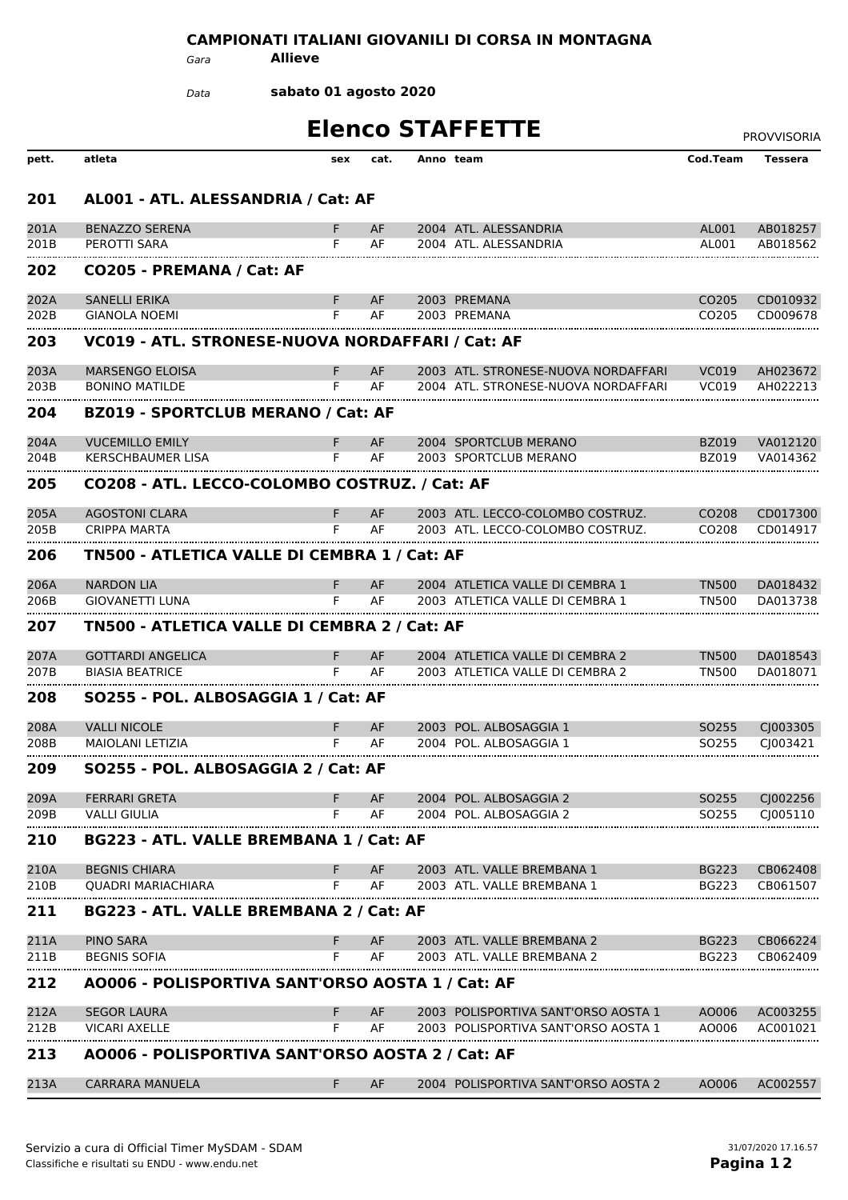## **CAMPIONATI ITALIANI GIOVANILI DI CORSA IN MONTAGNA**

*Gara* **Allieve**

**sabato 01 agosto 2020** *Data*

|              |                                                  |        |          | <b>Elenco STAFFETTE</b>                          |                                        | <b>PROVVISORIA</b>   |
|--------------|--------------------------------------------------|--------|----------|--------------------------------------------------|----------------------------------------|----------------------|
| pett.        | atleta                                           | sex    | cat.     | Anno team                                        | Cod.Team                               | <b>Tessera</b>       |
| 201          | AL001 - ATL. ALESSANDRIA / Cat: AF               |        |          |                                                  |                                        |                      |
| 201A         | <b>BENAZZO SERENA</b>                            | F.     | AF       | 2004 ATL. ALESSANDRIA                            | AL001                                  | AB018257             |
| 201B         | PEROTTI SARA                                     | F      | AF       | 2004 ATL. ALESSANDRIA                            | AL001                                  | AB018562             |
| <br>202      | CO205 - PREMANA / Cat: AF                        |        |          |                                                  |                                        |                      |
| 202A         | <b>SANELLI ERIKA</b>                             | F.     | AF       | 2003 PREMANA                                     | CO <sub>205</sub>                      | CD010932             |
| 202B         | <b>GIANOLA NOEMI</b>                             | F      | AF       | 2003 PREMANA                                     | CO <sub>205</sub>                      | CD009678             |
| 203          | VC019 - ATL. STRONESE-NUOVA NORDAFFARI / Cat: AF |        |          |                                                  |                                        |                      |
| 203A         | <b>MARSENGO ELOISA</b>                           | F.     | AF       | 2003 ATL. STRONESE-NUOVA NORDAFFARI              | <b>VC019</b>                           | AH023672             |
| 203B         | <b>BONINO MATILDE</b>                            | F      | AF       | 2004 ATL. STRONESE-NUOVA NORDAFFARI              | VC019                                  | AH022213             |
| 204          | <b>BZ019 - SPORTCLUB MERANO / Cat: AF</b>        |        |          |                                                  |                                        |                      |
| 204A         | <b>VUCEMILLO EMILY</b>                           | F.     | AF       | 2004 SPORTCLUB MERANO                            | <b>BZ019</b>                           | VA012120             |
| 204B         | <b>KERSCHBAUMER LISA</b>                         | F.     | AF       | 2003 SPORTCLUB MERANO                            | BZ019                                  | VA014362             |
| 205          | CO208 - ATL. LECCO-COLOMBO COSTRUZ. / Cat: AF    |        |          |                                                  |                                        |                      |
| 205A         | <b>AGOSTONI CLARA</b>                            | F.     | AF       | 2003 ATL. LECCO-COLOMBO COSTRUZ.                 | CO <sub>2</sub> 08                     | CD017300             |
| 205B         | CRIPPA MARTA                                     | F      | AF       | 2003 ATL. LECCO-COLOMBO COSTRUZ.                 | CO <sub>208</sub>                      | CD014917             |
| 206          | TN500 - ATLETICA VALLE DI CEMBRA 1 / Cat: AF     |        |          |                                                  |                                        |                      |
| 206A         | <b>NARDON LIA</b>                                | F.     | AF       | 2004 ATLETICA VALLE DI CEMBRA 1                  | <b>TN500</b>                           | DA018432             |
| 206B         | <b>GIOVANETTI LUNA</b>                           | F.     | AF       | 2003 ATLETICA VALLE DI CEMBRA 1                  | <b>TN500</b>                           | DA013738             |
| 207          | TN500 - ATLETICA VALLE DI CEMBRA 2 / Cat: AF     |        |          |                                                  |                                        |                      |
| 207A         | <b>GOTTARDI ANGELICA</b>                         | F.     | AF       | 2004 ATLETICA VALLE DI CEMBRA 2                  | <b>TN500</b>                           | DA018543             |
| 207B         | <b>BIASIA BEATRICE</b>                           | F      | AF       | 2003 ATLETICA VALLE DI CEMBRA 2                  | TN500                                  | DA018071             |
| 208          | SO255 - POL. ALBOSAGGIA 1 / Cat: AF              |        |          |                                                  |                                        |                      |
|              |                                                  |        |          |                                                  |                                        |                      |
| 208A<br>208B | <b>VALLI NICOLE</b><br><b>MAIOLANI LETIZIA</b>   | F<br>F | AF<br>AF | 2003 POL. ALBOSAGGIA 1<br>2004 POL. ALBOSAGGIA 1 | SO <sub>255</sub><br>SO <sub>255</sub> | CJ003305<br>CJ003421 |
| 209          | SO255 - POL. ALBOSAGGIA 2 / Cat: AF              |        |          |                                                  |                                        |                      |
|              |                                                  |        |          |                                                  |                                        |                      |
| 209A<br>209B | <b>FERRARI GRETA</b><br><b>VALLI GIULIA</b>      | F<br>F | AF<br>AF | 2004 POL. ALBOSAGGIA 2<br>2004 POL. ALBOSAGGIA 2 | SO <sub>255</sub><br>SO <sub>255</sub> | CJ002256<br>CJ005110 |
|              |                                                  |        |          |                                                  |                                        |                      |
| 210          | BG223 - ATL. VALLE BREMBANA 1 / Cat: AF          |        |          |                                                  |                                        |                      |
| 210A         | <b>BEGNIS CHIARA</b>                             | F.     | AF       | 2003 ATL. VALLE BREMBANA 1                       | <b>BG223</b>                           | CB062408             |
| 210B         | <b>QUADRI MARIACHIARA</b>                        | F      | AF       | 2003 ATL. VALLE BREMBANA 1                       | <b>BG223</b>                           | CB061507             |
| 211          | BG223 - ATL. VALLE BREMBANA 2 / Cat: AF          |        |          |                                                  |                                        |                      |
| 211A         | <b>PINO SARA</b>                                 | F.     | AF       | 2003 ATL. VALLE BREMBANA 2                       | <b>BG223</b>                           | CB066224             |
| 211B         | <b>BEGNIS SOFIA</b>                              | F      | AF       | 2003 ATL. VALLE BREMBANA 2                       | <b>BG223</b>                           | CB062409             |
| 212          | A0006 - POLISPORTIVA SANT'ORSO AOSTA 1 / Cat: AF |        |          |                                                  |                                        |                      |
| 212A         | <b>SEGOR LAURA</b>                               | F.     | AF       | 2003 POLISPORTIVA SANT'ORSO AOSTA 1              | AO006                                  | AC003255             |
| 212B         | <b>VICARI AXELLE</b>                             | F      | AF       | 2003 POLISPORTIVA SANT'ORSO AOSTA 1              | AO006                                  | AC001021             |
| 213          | A0006 - POLISPORTIVA SANT'ORSO AOSTA 2 / Cat: AF |        |          |                                                  |                                        |                      |
| 213A         | <b>CARRARA MANUELA</b>                           | F.     | AF       | 2004 POLISPORTIVA SANT'ORSO AOSTA 2              | AO006                                  | AC002557             |